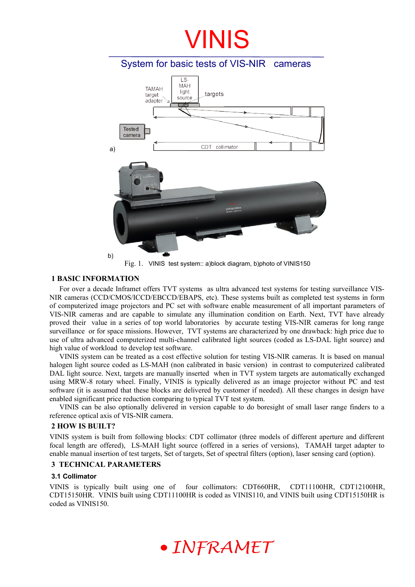### System for basic tests of VIS-NIR cameras LS-**MAH TAMAH** light targets target source adapter **Tested** camera CDT collimator a) b)

Fig. 1. VINIS test system:: a)block diagram, b)photo of VINIS150

#### **1 BASIC INFORMATION**

For over a decade Inframet offers TVT systems as ultra advanced test systems for testing surveillance VIS-NIR cameras (CCD/CMOS/ICCD/EBCCD/EBAPS, etc). These systems built as completed test systems in form of computerized image projectors and PC set with software enable measurement of all important parameters of VIS-NIR cameras and are capable to simulate any illumination condition on Earth. Next, TVT have already proved their value in a series of top world laboratories by accurate testing VIS-NIR cameras for long range surveillance or for space missions. However, TVT systems are characterized by one drawback: high price due to use of ultra advanced computerized multi-channel calibrated light sources (coded as LS-DAL light source) and high value of workload to develop test software.

VINIS system can be treated as a cost effective solution for testing VIS-NIR cameras. It is based on manual halogen light source coded as LS-MAH (non calibrated in basic version) in contrast to computerized calibrated DAL light source. Next, targets are manually inserted when in TVT system targets are automatically exchanged using MRW-8 rotary wheel. Finally, VINIS is typically delivered as an image projector without PC and test software (it is assumed that these blocks are delivered by customer if needed). All these changes in design have enabled significant price reduction comparing to typical TVT test system.

VINIS can be also optionally delivered in version capable to do boresight of small laser range finders to a reference optical axis of VIS-NIR camera.

#### **2 HOW IS BUILT?**

VINIS system is built from following blocks: CDT collimator (three models of different aperture and different focal length are offered), LS-MAH light source (offered in a series of versions), TAMAH target adapter to enable manual insertion of test targets, Set of targets, Set of spectral filters (option), laser sensing card (option).

#### **3 TECHNICAL PARAMETERS**

#### **3.1 Collimator**

VINIS is typically built using one of four collimators: CDT660HR, CDT11100HR, CDT12100HR, CDT15150HR. VINIS built using CDT11100HR is coded as VINIS110, and VINIS built using CDT15150HR is coded as VINIS150.

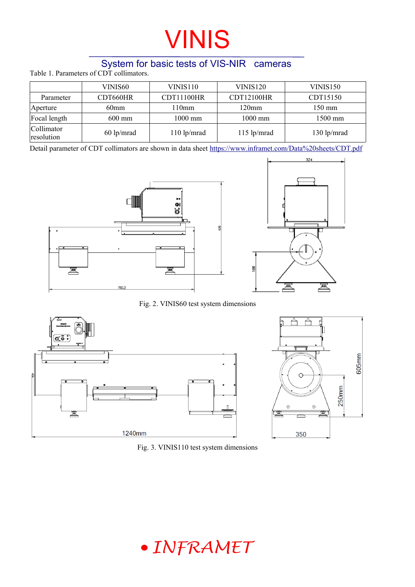### System for basic tests of VIS-NIR cameras

Table 1. Parameters of CDT collimators.

|                          | VINIS60          | VINIS110          | <b>VINIS120</b>   | VINIS150         |
|--------------------------|------------------|-------------------|-------------------|------------------|
| Parameter                | CDT660HR         | <b>CDT11100HR</b> | <b>CDT12100HR</b> | CDT15150         |
| Aperture                 | 60 <sub>mm</sub> | 110mm             | 120 <sub>mm</sub> | $150 \text{ mm}$ |
| Focal length             | $600 \text{ mm}$ | $1000$ mm         | $1000$ mm         | 1500 mm          |
| Collimator<br>resolution | $60$ lp/mrad     | $110$ lp/mrad     | $115$ lp/mrad     | $130$ lp/mrad    |

Detail parameter of CDT collimators are shown in data sheet <https://www.inframet.com/Data%20sheets/CDT.pdf>





605mm

250mm

Fig. 2. VINIS60 test system dimensions



Fig. 3. VINIS110 test system dimensions

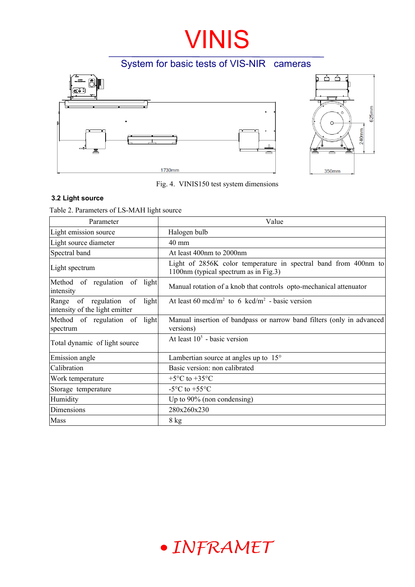### System for basic tests of VIS-NIR cameras

625mm



Fig. 4. VINIS150 test system dimensions

#### **3.2 Light source**

Table 2. Parameters of LS-MAH light source

| Parameter                                                                 | Value                                                                                                    |  |  |
|---------------------------------------------------------------------------|----------------------------------------------------------------------------------------------------------|--|--|
| Light emission source                                                     | Halogen bulb                                                                                             |  |  |
| Light source diameter                                                     | $40 \text{ mm}$                                                                                          |  |  |
| Spectral band                                                             | At least 400nm to 2000nm                                                                                 |  |  |
| Light spectrum                                                            | Light of 2856K color temperature in spectral band from 400nm to<br>1100nm (typical spectrum as in Fig.3) |  |  |
| Method of regulation of light<br>intensity                                | Manual rotation of a knob that controls opto-mechanical attenuator                                       |  |  |
| Range<br>of regulation<br>light<br>- of<br>intensity of the light emitter | At least 60 mcd/m <sup>2</sup> to 6 kcd/m <sup>2</sup> - basic version                                   |  |  |
| Method of regulation of light<br>spectrum                                 | Manual insertion of bandpass or narrow band filters (only in advanced<br>versions)                       |  |  |
| Total dynamic of light source                                             | At least $105$ - basic version                                                                           |  |  |
| Emission angle                                                            | Lambertian source at angles up to $15^{\circ}$                                                           |  |  |
| Calibration                                                               | Basic version: non calibrated                                                                            |  |  |
| Work temperature                                                          | $+5^{\circ}$ C to $+35^{\circ}$ C                                                                        |  |  |
| Storage temperature                                                       | -5 $\rm{^{\circ}C}$ to +55 $\rm{^{\circ}C}$                                                              |  |  |
| Humidity                                                                  | Up to $90\%$ (non condensing)                                                                            |  |  |
| Dimensions                                                                | 280x260x230                                                                                              |  |  |
| Mass                                                                      | $8$ kg                                                                                                   |  |  |

## · INFRAMET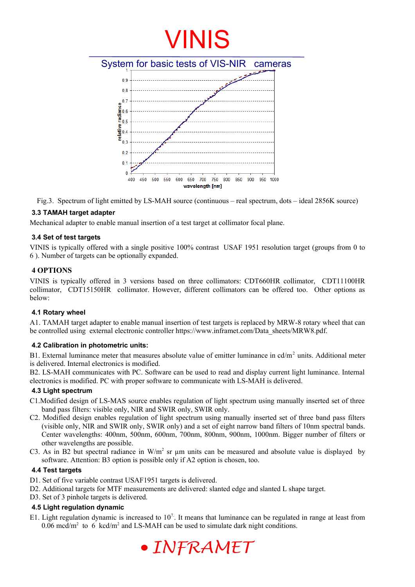

Fig.3. Spectrum of light emitted by LS-MAH source (continuous – real spectrum, dots – ideal 2856K source)

#### **3.3 TAMAH target adapter**

Mechanical adapter to enable manual insertion of a test target at collimator focal plane.

#### **3.4 Set of test targets**

VINIS is typically offered with a single positive 100% contrast USAF 1951 resolution target (groups from 0 to 6 ). Number of targets can be optionally expanded.

#### **4 OPTIONS**

VINIS is typically offered in 3 versions based on three collimators: CDT660HR collimator, CDT11100HR collimator, CDT15150HR collimator. However, different collimators can be offered too. Other options as below:

#### **4.1 Rotary wheel**

A1. TAMAH target adapter to enable manual insertion of test targets is replaced by MRW-8 rotary wheel that can be controlled using external electronic controller https://www.inframet.com/Data\_sheets/MRW8.pdf.

#### **4.2 Calibration in photometric units:**

B1. External luminance meter that measures absolute value of emitter luminance in  $\text{cd/m}^2$  units. Additional meter is delivered. Internal electronics is modified.

B2. LS-MAH communicates with PC. Software can be used to read and display current light luminance. Internal electronics is modified. PC with proper software to communicate with LS-MAH is delivered.

#### **4.3 Light spectrum**

- C1.Modified design of LS-MAS source enables regulation of light spectrum using manually inserted set of three band pass filters: visible only, NIR and SWIR only, SWIR only.
- C2. Modified design enables regulation of light spectrum using manually inserted set of three band pass filters (visible only, NIR and SWIR only, SWIR only) and a set of eight narrow band filters of 10nm spectral bands. Center wavelengths: 400nm, 500nm, 600nm, 700nm, 800nm, 900nm, 1000nm. Bigger number of filters or other wavelengths are possible.
- C3. As in B2 but spectral radiance in  $W/m^2$  sr  $\mu$ m units can be measured and absolute value is displayed by software. Attention: B3 option is possible only if A2 option is chosen, too.

#### **4.4 Test targets**

- D1. Set of five variable contrast USAF1951 targets is delivered.
- D2. Additional targets for MTF measurements are delivered: slanted edge and slanted L shape target.
- D3. Set of 3 pinhole targets is delivered.

#### **4.5 Light regulation dynamic**

E1. Light regulation dynamic is increased to  $10<sup>7</sup>$ . It means that luminance can be regulated in range at least from 0.06 mcd/m<sup>2</sup> to 6 kcd/m<sup>2</sup> and LS-MAH can be used to simulate dark night conditions.